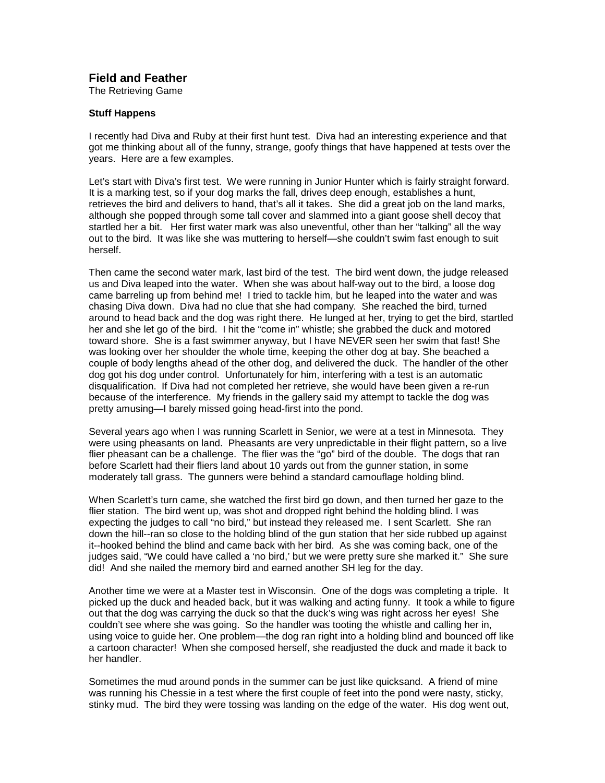## **Field and Feather**

The Retrieving Game

## **Stuff Happens**

I recently had Diva and Ruby at their first hunt test. Diva had an interesting experience and that got me thinking about all of the funny, strange, goofy things that have happened at tests over the years. Here are a few examples.

Let's start with Diva's first test. We were running in Junior Hunter which is fairly straight forward. It is a marking test, so if your dog marks the fall, drives deep enough, establishes a hunt, retrieves the bird and delivers to hand, that's all it takes. She did a great job on the land marks, although she popped through some tall cover and slammed into a giant goose shell decoy that startled her a bit. Her first water mark was also uneventful, other than her "talking" all the way out to the bird. It was like she was muttering to herself—she couldn't swim fast enough to suit herself.

Then came the second water mark, last bird of the test. The bird went down, the judge released us and Diva leaped into the water. When she was about half-way out to the bird, a loose dog came barreling up from behind me! I tried to tackle him, but he leaped into the water and was chasing Diva down. Diva had no clue that she had company. She reached the bird, turned around to head back and the dog was right there. He lunged at her, trying to get the bird, startled her and she let go of the bird. I hit the "come in" whistle; she grabbed the duck and motored toward shore. She is a fast swimmer anyway, but I have NEVER seen her swim that fast! She was looking over her shoulder the whole time, keeping the other dog at bay. She beached a couple of body lengths ahead of the other dog, and delivered the duck. The handler of the other dog got his dog under control. Unfortunately for him, interfering with a test is an automatic disqualification. If Diva had not completed her retrieve, she would have been given a re-run because of the interference. My friends in the gallery said my attempt to tackle the dog was pretty amusing—I barely missed going head-first into the pond.

Several years ago when I was running Scarlett in Senior, we were at a test in Minnesota. They were using pheasants on land. Pheasants are very unpredictable in their flight pattern, so a live flier pheasant can be a challenge. The flier was the "go" bird of the double. The dogs that ran before Scarlett had their fliers land about 10 yards out from the gunner station, in some moderately tall grass. The gunners were behind a standard camouflage holding blind.

When Scarlett's turn came, she watched the first bird go down, and then turned her gaze to the flier station. The bird went up, was shot and dropped right behind the holding blind. I was expecting the judges to call "no bird," but instead they released me. I sent Scarlett. She ran down the hill--ran so close to the holding blind of the gun station that her side rubbed up against it--hooked behind the blind and came back with her bird. As she was coming back, one of the judges said, "We could have called a 'no bird,' but we were pretty sure she marked it." She sure did! And she nailed the memory bird and earned another SH leg for the day.

Another time we were at a Master test in Wisconsin. One of the dogs was completing a triple. It picked up the duck and headed back, but it was walking and acting funny. It took a while to figure out that the dog was carrying the duck so that the duck's wing was right across her eyes! She couldn't see where she was going. So the handler was tooting the whistle and calling her in, using voice to guide her. One problem—the dog ran right into a holding blind and bounced off like a cartoon character! When she composed herself, she readjusted the duck and made it back to her handler.

Sometimes the mud around ponds in the summer can be just like quicksand. A friend of mine was running his Chessie in a test where the first couple of feet into the pond were nasty, sticky, stinky mud. The bird they were tossing was landing on the edge of the water. His dog went out,